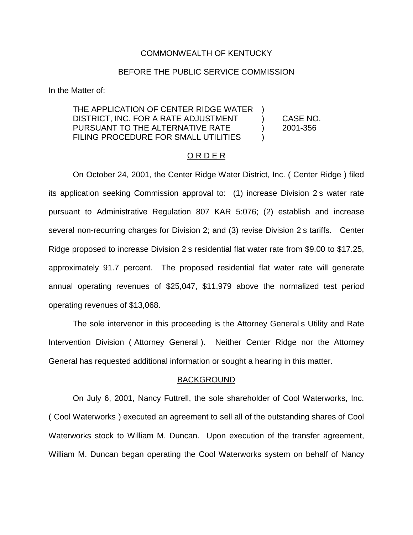#### COMMONWEALTH OF KENTUCKY

### BEFORE THE PUBLIC SERVICE COMMISSION

In the Matter of:

#### THE APPLICATION OF CENTER RIDGE WATER DISTRICT, INC. FOR A RATE ADJUSTMENT PURSUANT TO THE ALTERNATIVE RATE FILING PROCEDURE FOR SMALL UTILITIES ) ) CASE NO. ) 2001-356  $\lambda$

## O R D E R

On October 24, 2001, the Center Ridge Water District, Inc. ( Center Ridge ) filed its application seeking Commission approval to: (1) increase Division 2 s water rate pursuant to Administrative Regulation 807 KAR 5:076; (2) establish and increase several non-recurring charges for Division 2; and (3) revise Division 2 s tariffs. Center Ridge proposed to increase Division 2 s residential flat water rate from \$9.00 to \$17.25, approximately 91.7 percent. The proposed residential flat water rate will generate annual operating revenues of \$25,047, \$11,979 above the normalized test period operating revenues of \$13,068.

The sole intervenor in this proceeding is the Attorney General s Utility and Rate Intervention Division ( Attorney General ). Neither Center Ridge nor the Attorney General has requested additional information or sought a hearing in this matter.

#### BACKGROUND

On July 6, 2001, Nancy Futtrell, the sole shareholder of Cool Waterworks, Inc. ( Cool Waterworks ) executed an agreement to sell all of the outstanding shares of Cool Waterworks stock to William M. Duncan. Upon execution of the transfer agreement, William M. Duncan began operating the Cool Waterworks system on behalf of Nancy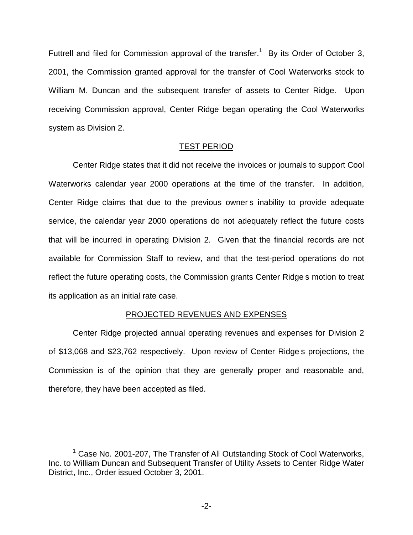Futtrell and filed for Commission approval of the transfer.<sup>1</sup> By its Order of October 3, 2001, the Commission granted approval for the transfer of Cool Waterworks stock to William M. Duncan and the subsequent transfer of assets to Center Ridge. Upon receiving Commission approval, Center Ridge began operating the Cool Waterworks system as Division 2.

## TEST PERIOD

Center Ridge states that it did not receive the invoices or journals to support Cool Waterworks calendar year 2000 operations at the time of the transfer. In addition, Center Ridge claims that due to the previous owner s inability to provide adequate service, the calendar year 2000 operations do not adequately reflect the future costs that will be incurred in operating Division 2. Given that the financial records are not available for Commission Staff to review, and that the test-period operations do not reflect the future operating costs, the Commission grants Center Ridge s motion to treat its application as an initial rate case.

## PROJECTED REVENUES AND EXPENSES

Center Ridge projected annual operating revenues and expenses for Division 2 of \$13,068 and \$23,762 respectively. Upon review of Center Ridge s projections, the Commission is of the opinion that they are generally proper and reasonable and, therefore, they have been accepted as filed.

<sup>&</sup>lt;sup>1</sup> Case No. 2001-207, The Transfer of All Outstanding Stock of Cool Waterworks, Inc. to William Duncan and Subsequent Transfer of Utility Assets to Center Ridge Water District, Inc., Order issued October 3, 2001.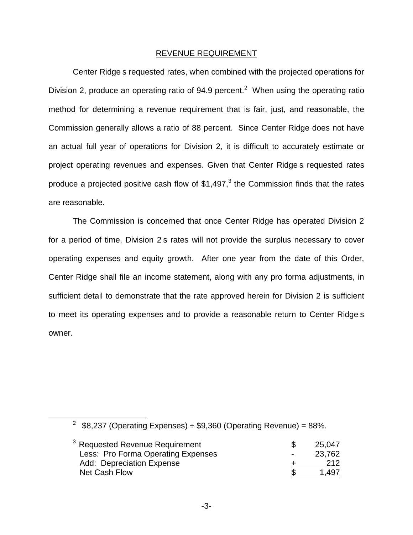#### REVENUE REQUIREMENT

Center Ridge s requested rates, when combined with the projected operations for Division 2, produce an operating ratio of 94.9 percent.<sup>2</sup> When using the operating ratio method for determining a revenue requirement that is fair, just, and reasonable, the Commission generally allows a ratio of 88 percent. Since Center Ridge does not have an actual full year of operations for Division 2, it is difficult to accurately estimate or project operating revenues and expenses. Given that Center Ridge s requested rates produce a projected positive cash flow of  $$1,497<sup>3</sup>$  the Commission finds that the rates are reasonable.

The Commission is concerned that once Center Ridge has operated Division 2 for a period of time, Division 2 s rates will not provide the surplus necessary to cover operating expenses and equity growth. After one year from the date of this Order, Center Ridge shall file an income statement, along with any pro forma adjustments, in sufficient detail to demonstrate that the rate approved herein for Division 2 is sufficient to meet its operating expenses and to provide a reasonable return to Center Ridge s owner.

<sup>&</sup>lt;sup>2</sup> \$8,237 (Operating Expenses)  $\div$  \$9,360 (Operating Revenue) = 88%.

| $3$ Requested Revenue Requirement  |        | 25.047 |
|------------------------------------|--------|--------|
| Less: Pro Forma Operating Expenses | $\sim$ | 23,762 |
| Add: Depreciation Expense          |        | 212    |
| Net Cash Flow                      |        | 1.497  |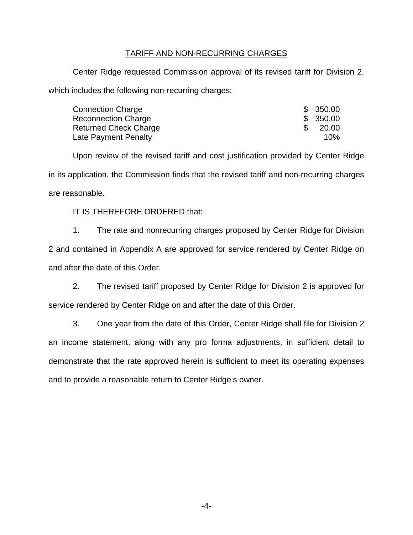## TARIFF AND NON-RECURRING CHARGES

Center Ridge requested Commission approval of its revised tariff for Division 2, which includes the following non-recurring charges:

| Connection Charge            | \$350.00  |
|------------------------------|-----------|
| <b>Reconnection Charge</b>   | \$ 350.00 |
| <b>Returned Check Charge</b> | 20.00     |
| Late Payment Penalty         | 10%       |

Upon review of the revised tariff and cost justification provided by Center Ridge in its application, the Commission finds that the revised tariff and non-recurring charges are reasonable.

## IT IS THEREFORE ORDERED that:

1. The rate and nonrecurring charges proposed by Center Ridge for Division 2 and contained in Appendix A are approved for service rendered by Center Ridge on and after the date of this Order.

2. The revised tariff proposed by Center Ridge for Division 2 is approved for service rendered by Center Ridge on and after the date of this Order.

3. One year from the date of this Order, Center Ridge shall file for Division 2 an income statement, along with any pro forma adjustments, in sufficient detail to demonstrate that the rate approved herein is sufficient to meet its operating expenses and to provide a reasonable return to Center Ridge s owner.

-4-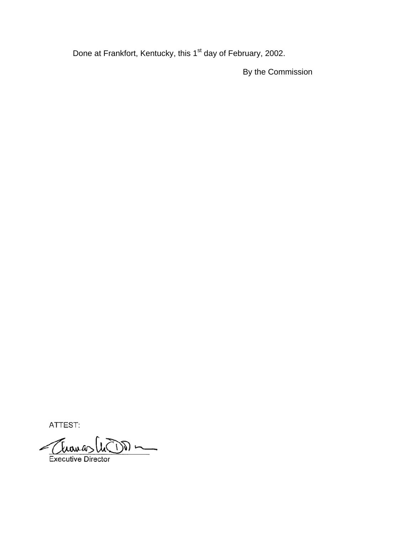Done at Frankfort, Kentucky, this 1<sup>st</sup> day of February, 2002.

By the Commission

ATTEST:

Thomas  $\frac{1}{\sqrt{2}}$ Executive Director